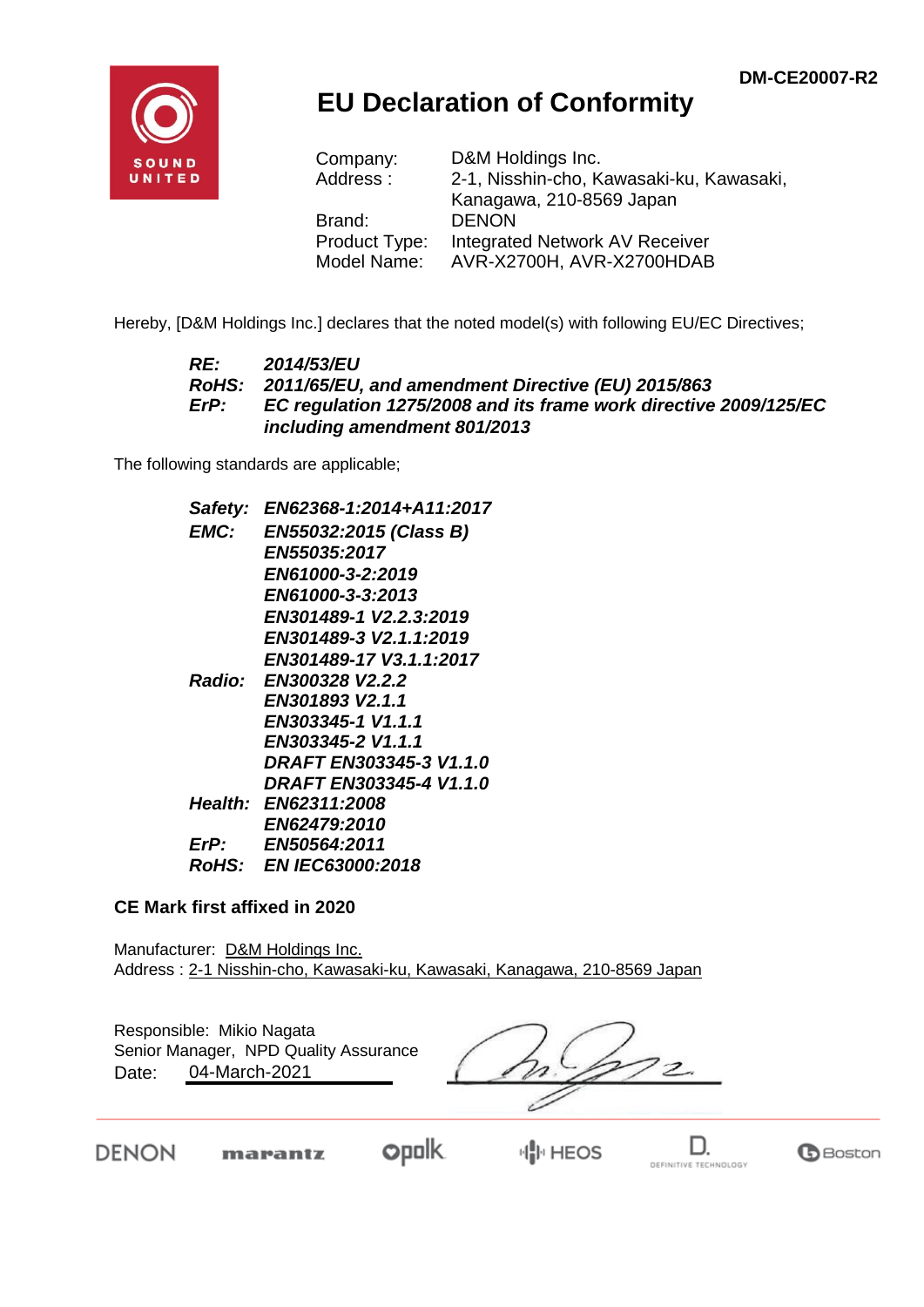**G**Boston



## **EU Declaration of Conformity**

| Company:      | D&M Holdings Inc.                        |
|---------------|------------------------------------------|
| Address:      | 2-1, Nisshin-cho, Kawasaki-ku, Kawasaki, |
|               | Kanagawa, 210-8569 Japan                 |
| Brand:        | <b>DENON</b>                             |
| Product Type: | Integrated Network AV Receiver           |
| Model Name:   | AVR-X2700H, AVR-X2700HDAB                |

Hereby, [D&M Holdings Inc.] declares that the noted model(s) with following EU/EC Directives;

#### *RE: 2014/53/EU RoHS: 2011/65/EU, and amendment Directive (EU) 2015/863 ErP: EC regulation 1275/2008 and its frame work directive 2009/125/EC including amendment 801/2013*

The following standards are applicable;

| Safety:     | EN62368-1:2014+A11:2017        |
|-------------|--------------------------------|
| <b>EMC:</b> | EN55032:2015 (Class B)         |
|             | <b>EN55035:2017</b>            |
|             | EN61000-3-2:2019               |
|             | EN61000-3-3:2013               |
|             | EN301489-1 V2.2.3:2019         |
|             | EN301489-3 V2.1.1:2019         |
|             | EN301489-17 V3.1.1:2017        |
|             | Radio: EN300328 V2.2.2         |
|             | EN301893 V2.1.1                |
|             | EN303345-1 V1.1.1              |
|             | EN303345-2 V1.1.1              |
|             | <b>DRAFT EN303345-3 V1.1.0</b> |
|             | DRAFT EN303345-4 V1.1.0        |
|             | Health: EN62311:2008           |
|             | EN62479:2010                   |
| ErP:        | <b>EN50564:2011</b>            |
|             | RoHS: EN IEC63000:2018         |

#### **CE Mark first affixed in 2020**

Manufacturer: D&M Holdings Inc. Address : 2-1 Nisshin-cho, Kawasaki-ku, Kawasaki, Kanagawa, 210-8569 Japan

| Date: | Responsible: Mikio Nagata<br>Senior Manager, NPD Quality Assurance<br>04-March-2021 |             |  |  |
|-------|-------------------------------------------------------------------------------------|-------------|--|--|
|       | marantz                                                                             | <b>HEOS</b> |  |  |

DEFINITIVE TECHNOLOGY